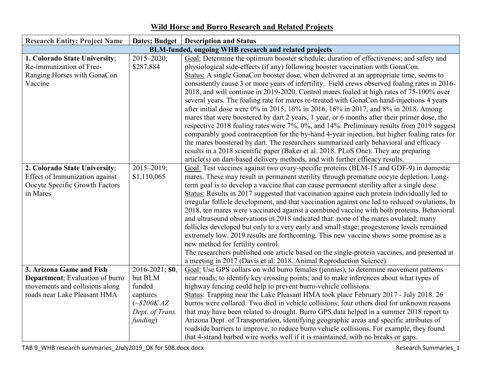| <b>Research Entity; Project Name</b> |                     | Dates; Budget   Description and Status                                                                                     |
|--------------------------------------|---------------------|----------------------------------------------------------------------------------------------------------------------------|
|                                      |                     | BLM-funded, ongoing WHB research and related projects                                                                      |
| 1. Colorado State University;        | $2015 - 2020;$      | Goal: Determine the optimum booster schedule; duration of effectiveness; and safety and                                    |
| Re-immunization of Free-             | \$287,884           | physiological side-effects (if any) following booster vaccination with GonaCon.                                            |
| Ranging Horses with GonaCon          |                     | Status: A single GonaCon booster dose, when delivered at an appropriate time, seems to                                     |
| Vaccine                              |                     | consistently cause 3 or more years of infertility. Field crews observed foaling rates in 2016-                             |
|                                      |                     | 2018, and will continue in 2019-2020. Control mares foaled at high rates of 75-100% over                                   |
|                                      |                     | several years. The foaling rate for mares re-treated with GonaCon hand-injections 4 years                                  |
|                                      |                     | after initial dose were 0% in 2015, 16% in 2016, 16% in 2017, and 8% in 2018. Among                                        |
|                                      |                     | mares that were boostered by dart 2 years, 1 year, or 6 months after their primer dose, the                                |
|                                      |                     | respective 2018 foaling rates were 7%, 0%, and 14%. Preliminary results from 2019 suggest                                  |
|                                      |                     | comparably good contraception for the by-hand 4-year injection, but higher foaling rates for                               |
|                                      |                     | the mares boostered by dart. The researchers summarized early behavioral and efficacy                                      |
|                                      |                     | results in a 2018 scientific paper (Baker et al. 2018. PLoS One). They are preparing                                       |
|                                      |                     | article(s) on dart-based delivery methods, and with further efficacy results.                                              |
| 2. Colorado State University;        | $2015 - 2019$ ;     | Goal: Test vaccines against two ovary-specific proteins (BLM-15 and GDF-9) in domestic                                     |
| Effect of Immunization against       | \$1,110,065         | mares. These may result in permanent sterility through premature oocyte depletion. Long-                                   |
| Oocyte Specific Growth Factors       |                     | term goal is to develop a vaccine that can cause permanent sterility after a single dose.                                  |
| in Mares                             |                     | Status: Results in 2017 suggested that vaccination against each protein individually led to                                |
|                                      |                     | irregular follicle development, and that vaccination against one led to reduced ovulations, In                             |
|                                      |                     | 2018, ten mares were vaccinated against a combined vaccine with both proteins. Behavioral                                  |
|                                      |                     | and ultrasound observations in 2018 indicated that: none of the mares ovulated; many                                       |
|                                      |                     | follicles developed but only to a very early and small stage; progesterone levels remained                                 |
|                                      |                     | extremely low. 2019 results are forthcoming. This new vaccine shows some promise as a<br>new method for fertility control. |
|                                      |                     | The researchers published one article based on the single-protein vaccines, and presented at                               |
|                                      |                     | a meeting in 2017 (Davis et al. 2018. Animal Reproduction Science).                                                        |
| 3. Arizona Game and Fish             | 2016-2021; \$0,     | Goal: Use GPS collars on wild burro females (jennies), to determine movement patterns                                      |
| Department; Evaluation of burro      | but BLM             | near roads; to identify key crossing points; and to make inferences about what types of                                    |
| movements and collisions along       | funded              | highway fencing could help to prevent burro-vehicle collisions.                                                            |
| roads near Lake Pleasant HMA         | captures            | Status: Trapping near the Lake Pleasant HMA took place February 2017 - July 2018. 26                                       |
|                                      | $({\sim}$ \$200K AZ | burros were collared. Two died in vehicle collisions; four others died for unknown reasons                                 |
|                                      | Dept. of Trans.     | that may have been related to drought. Burro GPS data helped in a summer 2018 report to                                    |
|                                      | funding)            | Arizona Dept. of Transportation, identifying geographic areas and specific attributes of                                   |
|                                      |                     | roadside barriers to improve, to reduce burro vehicle collisions. For example, they found                                  |
|                                      |                     | that 4-strand barbed wire works well if it is maintained, with no breaks or gaps.                                          |

## **Wild Horse and Burro Research and Related Projects**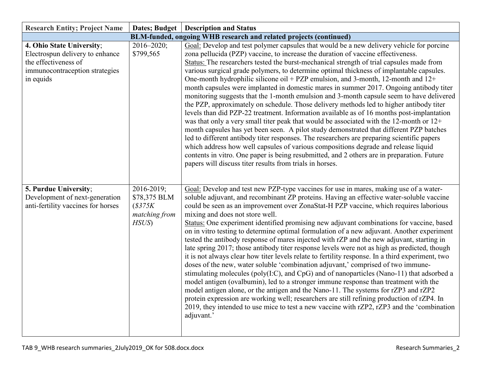| <b>Research Entity; Project Name</b>                                                                                                | Dates; Budget                                                 | <b>Description and Status</b>                                                                                                                                                                                                                                                                                                                                                                                                                                                                                                                                                                                                                                                                                                                                                                                                                                                                                                                                                                                                                                                                                                                                                                                                                                                                                                                                                     |
|-------------------------------------------------------------------------------------------------------------------------------------|---------------------------------------------------------------|-----------------------------------------------------------------------------------------------------------------------------------------------------------------------------------------------------------------------------------------------------------------------------------------------------------------------------------------------------------------------------------------------------------------------------------------------------------------------------------------------------------------------------------------------------------------------------------------------------------------------------------------------------------------------------------------------------------------------------------------------------------------------------------------------------------------------------------------------------------------------------------------------------------------------------------------------------------------------------------------------------------------------------------------------------------------------------------------------------------------------------------------------------------------------------------------------------------------------------------------------------------------------------------------------------------------------------------------------------------------------------------|
|                                                                                                                                     |                                                               | BLM-funded, ongoing WHB research and related projects (continued)                                                                                                                                                                                                                                                                                                                                                                                                                                                                                                                                                                                                                                                                                                                                                                                                                                                                                                                                                                                                                                                                                                                                                                                                                                                                                                                 |
| 4. Ohio State University;<br>Electrospun delivery to enhance<br>the effectiveness of<br>immunocontraception strategies<br>in equids | $2016 - 2020$ ;<br>\$799,565                                  | Goal: Develop and test polymer capsules that would be a new delivery vehicle for porcine<br>zona pellucida (PZP) vaccine, to increase the duration of vaccine effectiveness.<br>Status: The researchers tested the burst-mechanical strength of trial capsules made from<br>various surgical grade polymers, to determine optimal thickness of implantable capsules.<br>One-month hydrophilic silicone oil + PZP emulsion, and 3-month, 12-month and $12+$<br>month capsules were implanted in domestic mares in summer 2017. Ongoing antibody titer<br>monitoring suggests that the 1-month emulsion and 3-month capsule seem to have delivered<br>the PZP, approximately on schedule. Those delivery methods led to higher antibody titer<br>levels than did PZP-22 treatment. Information available as of 16 months post-implantation<br>was that only a very small titer peak that would be associated with the 12-month or 12+<br>month capsules has yet been seen. A pilot study demonstrated that different PZP batches<br>led to different antibody titer responses. The researchers are preparing scientific papers<br>which address how well capsules of various compositions degrade and release liquid<br>contents in vitro. One paper is being resubmitted, and 2 others are in preparation. Future<br>papers will discuss titer results from trials in horses.      |
| 5. Purdue University;<br>Development of next-generation<br>anti-fertility vaccines for horses                                       | 2016-2019;<br>\$78,375 BLM<br>\$375K<br>matching from<br>HSUS | Goal: Develop and test new PZP-type vaccines for use in mares, making use of a water-<br>soluble adjuvant, and recombinant ZP proteins. Having an effective water-soluble vaccine<br>could be seen as an improvement over ZonaStat-H PZP vaccine, which requires laborious<br>mixing and does not store well.<br>Status: One experiment identified promising new adjuvant combinations for vaccine, based<br>on in vitro testing to determine optimal formulation of a new adjuvant. Another experiment<br>tested the antibody response of mares injected with rZP and the new adjuvant, starting in<br>late spring 2017; those antibody titer response levels were not as high as predicted, though<br>it is not always clear how titer levels relate to fertility response. In a third experiment, two<br>doses of the new, water soluble 'combination adjuvant,' comprised of two immune-<br>stimulating molecules (poly(I:C), and CpG) and of nanoparticles (Nano-11) that adsorbed a<br>model antigen (ovalbumin), led to a stronger immune response than treatment with the<br>model antigen alone, or the antigen and the Nano-11. The systems for rZP3 and rZP2<br>protein expression are working well; researchers are still refining production of rZP4. In<br>2019, they intended to use mice to test a new vaccine with rZP2, rZP3 and the 'combination<br>adjuvant.' |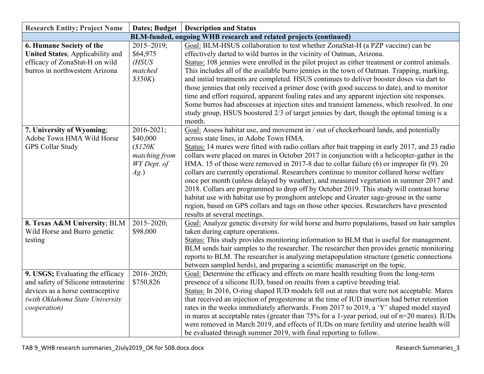| <b>Research Entity; Project Name</b>                                                                                                                            |                                                                             | Dates; Budget   Description and Status                                                                                                                                                                                                                                                                                                                                                                                                                                                                                                                                                                                                                                                                                                                                                                                                                                                                                                   |
|-----------------------------------------------------------------------------------------------------------------------------------------------------------------|-----------------------------------------------------------------------------|------------------------------------------------------------------------------------------------------------------------------------------------------------------------------------------------------------------------------------------------------------------------------------------------------------------------------------------------------------------------------------------------------------------------------------------------------------------------------------------------------------------------------------------------------------------------------------------------------------------------------------------------------------------------------------------------------------------------------------------------------------------------------------------------------------------------------------------------------------------------------------------------------------------------------------------|
|                                                                                                                                                                 |                                                                             | BLM-funded, ongoing WHB research and related projects (continued)                                                                                                                                                                                                                                                                                                                                                                                                                                                                                                                                                                                                                                                                                                                                                                                                                                                                        |
| 6. Humane Society of the<br><b>United States</b> ; Applicability and<br>efficacy of ZonaStat-H on wild<br>burros in northwestern Arizona                        | $2015 - 2019$ ;<br>\$64,975<br>(HSUS)<br>matched<br>\$350K)                 | Goal: BLM-HSUS collaboration to test whether ZonaStat-H (a PZP vaccine) can be<br>effectively darted to wild burros in the vicinity of Oatman, Arizona.<br>Status: 108 jennies were enrolled in the pilot project as either treatment or control animals.<br>This includes all of the available burro jennies in the town of Oatman. Trapping, marking,<br>and initial treatments are completed. HSUS continues to deliver booster doses via dart to<br>those jennies that only received a primer dose (with good success to date), and to monitor<br>time and effort required, apparent foaling rates and any apparent injection site responses.<br>Some burros had abscesses at injection sites and transient lameness, which resolved. In one<br>study group, HSUS boostered 2/3 of target jennies by dart, though the optimal timing is a<br>month.                                                                                  |
| 7. University of Wyoming;<br>Adobe Town HMA Wild Horse<br><b>GPS Collar Study</b>                                                                               | 2016-2021;<br>\$40,000<br>\$120K<br>matching from<br>WY Dept. of<br>$Ag.$ ) | Goal: Assess habitat use, and movement in / out of checkerboard lands, and potentially<br>across state lines, in Adobe Town HMA.<br>Status: 14 mares were fitted with radio collars after bait trapping in early 2017, and 23 radio<br>collars were placed on mares in October 2017 in conjunction with a helicopter-gather in the<br>HMA. 15 of those were removed in 2017-8 due to collar failure (6) or improper fit (9). 20<br>collars are currently operational. Researchers continue to monitor collared horse welfare<br>once per month (unless delayed by weather), and measured vegetation in summer 2017 and<br>2018. Collars are programmed to drop off by October 2019. This study will contrast horse<br>habitat use with habitat use by pronghorn antelope and Greater sage-grouse in the same<br>region, based on GPS collars and tags on those other species. Researchers have presented<br>results at several meetings. |
| 8. Texas A&M University; BLM<br>Wild Horse and Burro genetic<br>testing                                                                                         | $2015 - 2020;$<br>\$98,000                                                  | Goal: Analyze genetic diversity for wild horse and burro populations, based on hair samples<br>taken during capture operations.<br>Status: This study provides monitoring information to BLM that is useful for management.<br>BLM sends hair samples to the researcher. The researcher then provides genetic monitoring<br>reports to BLM. The researcher is analyzing metapopulation structure (genetic connections<br>between sampled herds), and preparing a scientific manuscript on the topic.                                                                                                                                                                                                                                                                                                                                                                                                                                     |
| 9. USGS; Evaluating the efficacy<br>and safety of Silicone intrauterine<br>devices as a horse contraceptive<br>(with Oklahoma State University)<br>cooperation) | $2016 - 2020$ ;<br>\$750,826                                                | Goal: Determine the efficacy and effects on mare health resulting from the long-term<br>presence of a silicone IUD, based on results from a captive breeding trial.<br>Status: In 2016, O-ring shaped IUD models fell out at rates that were not acceptable. Mares<br>that received an injection of progesterone at the time of IUD insertion had better retention<br>rates in the weeks immediately afterwards. From 2017 to 2019, a 'Y' shaped model stayed<br>in mares at acceptable rates (greater than 75% for a 1-year period, out of n=20 mares). IUDs<br>were removed in March 2019, and effects of IUDs on mare fertility and uterine health will<br>be evaluated through summer 2019, with final reporting to follow.                                                                                                                                                                                                          |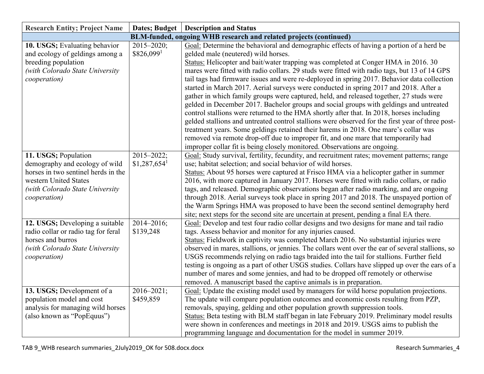| <b>Research Entity; Project Name</b>                                                                                                                                      | Dates; Budget                                | <b>Description and Status</b>                                                                                                                                                                                                                                                                                                                                                                                                                                                                                                                                                                                                                                                                                                                                                                                                                                                                                                                                                                                                                                                  |
|---------------------------------------------------------------------------------------------------------------------------------------------------------------------------|----------------------------------------------|--------------------------------------------------------------------------------------------------------------------------------------------------------------------------------------------------------------------------------------------------------------------------------------------------------------------------------------------------------------------------------------------------------------------------------------------------------------------------------------------------------------------------------------------------------------------------------------------------------------------------------------------------------------------------------------------------------------------------------------------------------------------------------------------------------------------------------------------------------------------------------------------------------------------------------------------------------------------------------------------------------------------------------------------------------------------------------|
|                                                                                                                                                                           |                                              | BLM-funded, ongoing WHB research and related projects (continued)                                                                                                                                                                                                                                                                                                                                                                                                                                                                                                                                                                                                                                                                                                                                                                                                                                                                                                                                                                                                              |
| 10. USGS; Evaluating behavior<br>and ecology of geldings among a<br>breeding population<br>(with Colorado State University<br>cooperation)                                | $2015 - 2020$ ;<br>\$826,0991                | Goal: Determine the behavioral and demographic effects of having a portion of a herd be<br>gelded male (neutered) wild horses.<br>Status: Helicopter and bait/water trapping was completed at Conger HMA in 2016. 30<br>mares were fitted with radio collars. 29 studs were fitted with radio tags, but 13 of 14 GPS<br>tail tags had firmware issues and were re-deployed in spring 2017. Behavior data collection<br>started in March 2017. Aerial surveys were conducted in spring 2017 and 2018. After a<br>gather in which family groups were captured, held, and released together, 27 studs were<br>gelded in December 2017. Bachelor groups and social groups with geldings and untreated<br>control stallions were returned to the HMA shortly after that. In 2018, horses including<br>gelded stallions and untreated control stallions were observed for the first year of three post-<br>treatment years. Some geldings retained their harems in 2018. One mare's collar was<br>removed via remote drop-off due to improper fit, and one mare that temporarily had |
| 11. USGS; Population<br>demography and ecology of wild<br>horses in two sentinel herds in the<br>western United States<br>(with Colorado State University<br>cooperation) | $2015 - 2022$ ;<br>$$1,287,654$ <sup>1</sup> | improper collar fit is being closely monitored. Observations are ongoing.<br>Goal: Study survival, fertility, fecundity, and recruitment rates; movement patterns; range<br>use; habitat selection; and social behavior of wild horses.<br>Status: About 95 horses were captured at Frisco HMA via a helicopter gather in summer<br>2016, with more captured in January 2017. Horses were fitted with radio collars, or radio<br>tags, and released. Demographic observations began after radio marking, and are ongoing<br>through 2018. Aerial surveys took place in spring 2017 and 2018. The unspayed portion of<br>the Warm Springs HMA was proposed to have been the second sentinel demography herd<br>site; next steps for the second site are uncertain at present, pending a final EA there.                                                                                                                                                                                                                                                                         |
| 12. USGS; Developing a suitable<br>radio collar or radio tag for feral<br>horses and burros<br>(with Colorado State University<br>cooperation)                            | $2014 - 2016;$<br>\$139,248                  | Goal: Develop and test four radio collar designs and two designs for mane and tail radio<br>tags. Assess behavior and monitor for any injuries caused.<br>Status: Fieldwork in captivity was completed March 2016. No substantial injuries were<br>observed in mares, stallions, or jennies. The collars went over the ear of several stallions, so<br>USGS recommends relying on radio tags braided into the tail for stallions. Further field<br>testing is ongoing as a part of other USGS studies. Collars have slipped up over the ears of a<br>number of mares and some jennies, and had to be dropped off remotely or otherwise<br>removed. A manuscript based the captive animals is in preparation.                                                                                                                                                                                                                                                                                                                                                                   |
| 13. USGS; Development of a<br>population model and cost<br>analysis for managing wild horses<br>(also known as "PopEquus")                                                | $2016 - 2021$ ;<br>\$459,859                 | Goal: Update the existing model used by managers for wild horse population projections.<br>The update will compare population outcomes and economic costs resulting from PZP,<br>removals, spaying, gelding and other population growth suppression tools.<br>Status: Beta testing with BLM staff began in late February 2019. Preliminary model results<br>were shown in conferences and meetings in 2018 and 2019. USGS aims to publish the<br>programming language and documentation for the model in summer 2019.                                                                                                                                                                                                                                                                                                                                                                                                                                                                                                                                                          |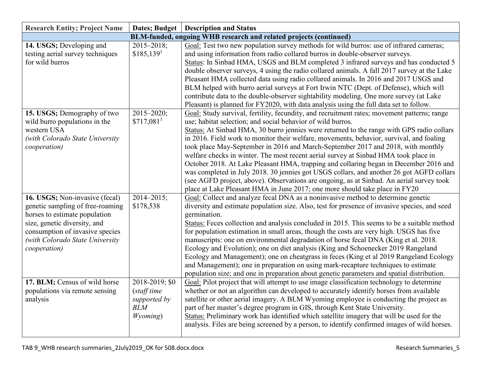| <b>Research Entity; Project Name</b>                                                                                                                                                                                      |                                                                         | Dates; Budget   Description and Status                                                                                                                                                                                                                                                                                                                                                                                                                                                                                                                                                                                                                                                                                                                                                                                                                                                         |
|---------------------------------------------------------------------------------------------------------------------------------------------------------------------------------------------------------------------------|-------------------------------------------------------------------------|------------------------------------------------------------------------------------------------------------------------------------------------------------------------------------------------------------------------------------------------------------------------------------------------------------------------------------------------------------------------------------------------------------------------------------------------------------------------------------------------------------------------------------------------------------------------------------------------------------------------------------------------------------------------------------------------------------------------------------------------------------------------------------------------------------------------------------------------------------------------------------------------|
|                                                                                                                                                                                                                           |                                                                         | BLM-funded, ongoing WHB research and related projects (continued)                                                                                                                                                                                                                                                                                                                                                                                                                                                                                                                                                                                                                                                                                                                                                                                                                              |
| 14. USGS; Developing and<br>testing aerial survey techniques<br>for wild burros                                                                                                                                           | $2015 - 2018$ ;<br>$$185,139$ <sup>1</sup>                              | Goal: Test two new population survey methods for wild burros: use of infrared cameras;<br>and using information from radio collared burros in double-observer surveys.<br>Status: In Sinbad HMA, USGS and BLM completed 3 infrared surveys and has conducted 5<br>double observer surveys, 4 using the radio collared animals. A fall 2017 survey at the Lake<br>Pleasant HMA collected data using radio collared animals. In 2016 and 2017 USGS and<br>BLM helped with burro aerial surveys at Fort Irwin NTC (Dept. of Defense), which will<br>contribute data to the double-observer sightability modeling. One more survey (at Lake<br>Pleasant) is planned for FY2020, with data analysis using the full data set to follow.                                                                                                                                                              |
| 15. USGS; Demography of two<br>wild burro populations in the<br>western USA<br>(with Colorado State University<br>cooperation)                                                                                            | $\overline{2015} - 2020;$<br>$$717,081$ <sup>1</sup>                    | Goal: Study survival, fertility, fecundity, and recruitment rates; movement patterns; range<br>use; habitat selection; and social behavior of wild burros.<br>Status: At Sinbad HMA, 30 burro jennies were returned to the range with GPS radio collars<br>in 2016. Field work to monitor their welfare, movements, behavior, survival, and foaling<br>took place May-September in 2016 and March-September 2017 and 2018, with monthly<br>welfare checks in winter. The most recent aerial survey at Sinbad HMA took place in<br>October 2018. At Lake Pleasant HMA, trapping and collaring began in December 2016 and<br>was completed in July 2018. 30 jennies got USGS collars, and another 26 got AGFD collars<br>(see AGFD project, above). Observations are ongoing, as at Sinbad. An aerial survey took<br>place at Lake Pleasant HMA in June 2017; one more should take place in FY20 |
| 16. USGS; Non-invasive (fecal)<br>genetic sampling of free-roaming<br>horses to estimate population<br>size, genetic diversity, and<br>consumption of invasive species<br>(with Colorado State University<br>cooperation) | $2014 - 2015$ ;<br>\$178,538                                            | Goal: Collect and analyze fecal DNA as a noninvasive method to determine genetic<br>diversity and estimate population size. Also, test for presence of invasive species, and seed<br>germination.<br>Status: Feces collection and analysis concluded in 2015. This seems to be a suitable method<br>for population estimation in small areas, though the costs are very high. USGS has five<br>manuscripts: one on environmental degradation of horse fecal DNA (King et al. 2018.<br>Ecology and Evolution); one on diet analysis (King and Schoenecker 2019 Rangeland<br>Ecology and Management); one on cheatgrass in feces (King et al 2019 Rangeland Ecology<br>and Management); one in preparation on using mark-recapture techniques to estimate<br>population size; and one in preparation about genetic parameters and spatial distribution.                                          |
| 17. BLM; Census of wild horse<br>populations via remote sensing<br>analysis                                                                                                                                               | 2018-2019; \$0<br>(staff time<br>supported by<br><b>BLM</b><br>Wyoming) | Goal: Pilot project that will attempt to use image classification technology to determine<br>whether or not an algorithm can developed to accurately identify horses from available<br>satellite or other aerial imagery. A BLM Wyoming employee is conducting the project as<br>part of her master's degree program in GIS, through Kent State University.<br>Status: Preliminary work has identified which satellite imagery that will be used for the<br>analysis. Files are being screened by a person, to identify confirmed images of wild horses.                                                                                                                                                                                                                                                                                                                                       |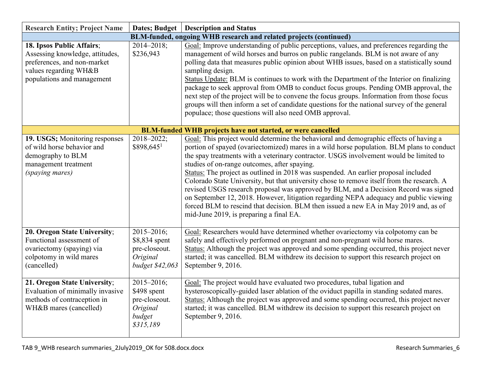| <b>Research Entity; Project Name</b>                                                                                                               |                                                                                   | Dates; Budget   Description and Status                                                                                                                                                                                                                                                                                                                                                                                                                                                                                                                                                                                                                                                                                                                                                                                                |
|----------------------------------------------------------------------------------------------------------------------------------------------------|-----------------------------------------------------------------------------------|---------------------------------------------------------------------------------------------------------------------------------------------------------------------------------------------------------------------------------------------------------------------------------------------------------------------------------------------------------------------------------------------------------------------------------------------------------------------------------------------------------------------------------------------------------------------------------------------------------------------------------------------------------------------------------------------------------------------------------------------------------------------------------------------------------------------------------------|
|                                                                                                                                                    |                                                                                   | BLM-funded, ongoing WHB research and related projects (continued)                                                                                                                                                                                                                                                                                                                                                                                                                                                                                                                                                                                                                                                                                                                                                                     |
| 18. Ipsos Public Affairs;<br>Assessing knowledge, attitudes,<br>preferences, and non-market<br>values regarding WH&B<br>populations and management | $2014 - 2018$ ;<br>\$236,943                                                      | Goal: Improve understanding of public perceptions, values, and preferences regarding the<br>management of wild horses and burros on public rangelands. BLM is not aware of any<br>polling data that measures public opinion about WHB issues, based on a statistically sound<br>sampling design.<br>Status Update: BLM is continues to work with the Department of the Interior on finalizing<br>package to seek approval from OMB to conduct focus groups. Pending OMB approval, the<br>next step of the project will be to convene the focus groups. Information from those focus<br>groups will then inform a set of candidate questions for the national survey of the general<br>populace; those questions will also need OMB approval.                                                                                          |
|                                                                                                                                                    |                                                                                   | <b>BLM-funded WHB projects have not started, or were cancelled</b>                                                                                                                                                                                                                                                                                                                                                                                                                                                                                                                                                                                                                                                                                                                                                                    |
| 19. USGS; Monitoring responses<br>of wild horse behavior and<br>demography to BLM<br>management treatment<br>(spaying mares)                       | $2018 - 2022;$<br>\$898,6451                                                      | Goal: This project would determine the behavioral and demographic effects of having a<br>portion of spayed (ovariectomized) mares in a wild horse population. BLM plans to conduct<br>the spay treatments with a veterinary contractor. USGS involvement would be limited to<br>studies of on-range outcomes, after spaying.<br>Status: The project as outlined in 2018 was suspended. An earlier proposal included<br>Colorado State University, but that university chose to remove itself from the research. A<br>revised USGS research proposal was approved by BLM, and a Decision Record was signed<br>on September 12, 2018. However, litigation regarding NEPA adequacy and public viewing<br>forced BLM to rescind that decision. BLM then issued a new EA in May 2019 and, as of<br>mid-June 2019, is preparing a final EA. |
| 20. Oregon State University;<br>Functional assessment of<br>ovariectomy (spaying) via<br>colpotomy in wild mares<br>(cancelled)                    | $2015 - 2016;$<br>\$8,834 spent<br>pre-closeout.<br>Original<br>budget \$42,063   | Goal: Researchers would have determined whether ovariectomy via colpotomy can be<br>safely and effectively performed on pregnant and non-pregnant wild horse mares.<br>Status: Although the project was approved and some spending occurred, this project never<br>started; it was cancelled. BLM withdrew its decision to support this research project on<br>September 9, 2016.                                                                                                                                                                                                                                                                                                                                                                                                                                                     |
| 21. Oregon State University;<br>Evaluation of minimally invasive<br>methods of contraception in<br>WH&B mares (cancelled)                          | $2015 - 2016;$<br>\$498 spent<br>pre-closeout.<br>Original<br>budget<br>\$315,189 | Goal: The project would have evaluated two procedures, tubal ligation and<br>hysteroscopically-guided laser ablation of the oviduct papilla in standing sedated mares.<br>Status: Although the project was approved and some spending occurred, this project never<br>started; it was cancelled. BLM withdrew its decision to support this research project on<br>September 9, 2016.                                                                                                                                                                                                                                                                                                                                                                                                                                                  |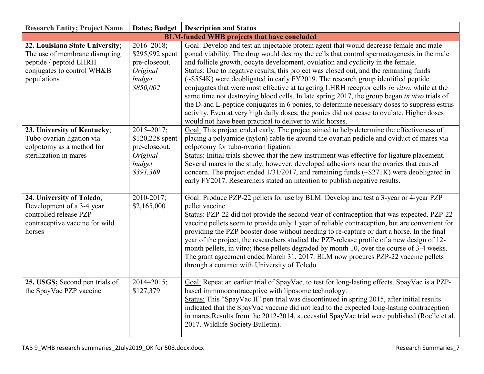| <b>Research Entity; Project Name</b>                                                                                                     |                                                                                        | Dates; Budget   Description and Status                                                                                                                                                                                                                                                                                                                                                                                                                                                                                                                                                                                                                                                                                                                                                                                                                                                                        |
|------------------------------------------------------------------------------------------------------------------------------------------|----------------------------------------------------------------------------------------|---------------------------------------------------------------------------------------------------------------------------------------------------------------------------------------------------------------------------------------------------------------------------------------------------------------------------------------------------------------------------------------------------------------------------------------------------------------------------------------------------------------------------------------------------------------------------------------------------------------------------------------------------------------------------------------------------------------------------------------------------------------------------------------------------------------------------------------------------------------------------------------------------------------|
|                                                                                                                                          |                                                                                        | <b>BLM-funded WHB projects that have concluded</b>                                                                                                                                                                                                                                                                                                                                                                                                                                                                                                                                                                                                                                                                                                                                                                                                                                                            |
| 22. Louisiana State University;<br>The use of membrane disrupting<br>peptide / peptoid LHRH<br>conjugates to control WH&B<br>populations | $2016 - 2018$ ;<br>\$295,992 spent<br>pre-closeout.<br>Original<br>budget<br>\$850,002 | Goal: Develop and test an injectable protein agent that would decrease female and male<br>gonad viability. The drug would destroy the cells that control spermatogenesis in the male<br>and follicle growth, oocyte development, ovulation and cyclicity in the female.<br>Status: Due to negative results, this project was closed out, and the remaining funds<br>(~\$554K) were deobligated in early FY2019. The research group identified peptide<br>conjugates that were most effective at targeting LHRH receptor cells in vitro, while at the<br>same time not destroying blood cells. In late spring 2017, the group began in vivo trials of<br>the D-and L-peptide conjugates in 6 ponies, to determine necessary doses to suppress estrus<br>activity. Even at very high daily doses, the ponies did not cease to ovulate. Higher doses<br>would not have been practical to deliver to wild horses. |
| 23. University of Kentucky;<br>Tubo-ovarian ligation via<br>colpotomy as a method for<br>sterilization in mares                          | 2015-2017;<br>\$120,228 spent<br>pre-closeout.<br>Original<br>budget<br>\$391,369      | Goal: This project ended early. The project aimed to help determine the effectiveness of<br>placing a polyamide (nylon) cable tie around the ovarian pedicle and oviduct of mares via<br>colpotomy for tubo-ovarian ligation.<br>Status: Initial trials showed that the new instrument was effective for ligature placement.<br>Several mares in the study, however, developed adhesions near the ovaries that caused<br>concern. The project ended $1/31/2017$ , and remaining funds ( $\sim$ \$271K) were deobligated in<br>early FY2017. Researchers stated an intention to publish negative results.                                                                                                                                                                                                                                                                                                      |
| 24. University of Toledo;<br>Development of a 3-4 year<br>controlled release PZP<br>contraceptive vaccine for wild<br>horses             | 2010-2017;<br>\$2,165,000                                                              | Goal: Produce PZP-22 pellets for use by BLM. Develop and test a 3-year or 4-year PZP<br>pellet vaccine.<br>Status: PZP-22 did not provide the second year of contraception that was expected. PZP-22<br>vaccine pellets seem to provide only 1 year of reliable contraception, but are convenient for<br>providing the PZP booster dose without needing to re-capture or dart a horse. In the final<br>year of the project, the researchers studied the PZP-release profile of a new design of 12-<br>month pellets, in vitro; those pellets degraded by month 10, over the course of 3-4 weeks.<br>The grant agreement ended March 31, 2017. BLM now procures PZP-22 vaccine pellets<br>through a contract with University of Toledo.                                                                                                                                                                        |
| 25. USGS; Second pen trials of<br>the SpayVac PZP vaccine                                                                                | $2014 - 2015$ ;<br>\$127,379                                                           | Goal: Repeat an earlier trial of SpayVac, to test for long-lasting effects. SpayVac is a PZP-<br>based immunocontraceptive with liposome technology.<br>Status: This "SpayVac II" pen trial was discontinued in spring 2015, after initial results<br>indicated that the SpayVac vaccine did not lead to the expected long-lasting contraception<br>in mares. Results from the 2012-2014, successful SpayVac trial were published (Roelle et al.<br>2017. Wildlife Society Bulletin).                                                                                                                                                                                                                                                                                                                                                                                                                         |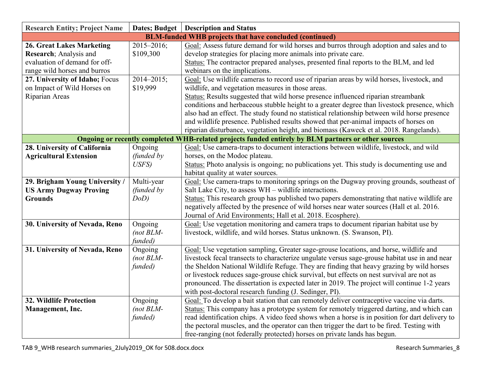| <b>Research Entity; Project Name</b> | <b>Dates; Budget</b> | <b>Description and Status</b>                                                                       |
|--------------------------------------|----------------------|-----------------------------------------------------------------------------------------------------|
|                                      |                      | <b>BLM-funded WHB projects that have concluded (continued)</b>                                      |
| <b>26. Great Lakes Marketing</b>     | $2015 - 2016$ ;      | Goal: Assess future demand for wild horses and burros through adoption and sales and to             |
| Research; Analysis and               | \$109,300            | develop strategies for placing more animals into private care.                                      |
| evaluation of demand for off-        |                      | Status: The contractor prepared analyses, presented final reports to the BLM, and led               |
| range wild horses and burros         |                      | webinars on the implications.                                                                       |
| 27. University of Idaho; Focus       | $2014 - 2015$ ;      | Goal: Use wildlife cameras to record use of riparian areas by wild horses, livestock, and           |
| on Impact of Wild Horses on          | \$19,999             | wildlife, and vegetation measures in those areas.                                                   |
| Riparian Areas                       |                      | Status: Results suggested that wild horse presence influenced riparian streambank                   |
|                                      |                      | conditions and herbaceous stubble height to a greater degree than livestock presence, which         |
|                                      |                      | also had an effect. The study found no statistical relationship between wild horse presence         |
|                                      |                      | and wildlife presence. Published results showed that per-animal impacts of horses on                |
|                                      |                      | riparian disturbance, vegetation height, and biomass (Kaweck et al. 2018. Rangelands).              |
|                                      |                      | Ongoing or recently completed WHB-related projects funded entirely by BLM partners or other sources |
| 28. University of California         | Ongoing              | Goal: Use camera-traps to document interactions between wildlife, livestock, and wild               |
| <b>Agricultural Extension</b>        | (funded by           | horses, on the Modoc plateau.                                                                       |
|                                      | USFS)                | Status: Photo analysis is ongoing; no publications yet. This study is documenting use and           |
|                                      |                      | habitat quality at water sources.                                                                   |
| 29. Brigham Young University /       | Multi-year           | Goal: Use camera-traps to monitoring springs on the Dugway proving grounds, southeast of            |
| <b>US Army Dugway Proving</b>        | (funded by           | Salt Lake City, to assess WH - wildlife interactions.                                               |
| <b>Grounds</b>                       | $DoD$ )              | Status: This research group has published two papers demonstrating that native wildlife are         |
|                                      |                      | negatively affected by the presence of wild horses near water sources (Hall et al. 2016.            |
|                                      |                      | Journal of Arid Environments; Hall et al. 2018. Ecosphere).                                         |
| 30. University of Nevada, Reno       | Ongoing              | Goal: Use vegetation monitoring and camera traps to document riparian habitat use by                |
|                                      | $(not BLM-$          | livestock, wildlife, and wild horses. Status unknown. (S. Swanson, PI).                             |
|                                      | funded)              |                                                                                                     |
| 31. University of Nevada, Reno       | Ongoing              | Goal: Use vegetation sampling, Greater sage-grouse locations, and horse, wildlife and               |
|                                      | $(not BLM-$          | livestock fecal transects to characterize ungulate versus sage-grouse habitat use in and near       |
|                                      | funded)              | the Sheldon National Wildlife Refuge. They are finding that heavy grazing by wild horses            |
|                                      |                      | or livestock reduces sage-grouse chick survival, but effects on nest survival are not as            |
|                                      |                      | pronounced. The dissertation is expected later in 2019. The project will continue 1-2 years         |
|                                      |                      | with post-doctoral research funding (J. Sedinger, PI).                                              |
| <b>32. Wildlife Protection</b>       | Ongoing              | Goal: To develop a bait station that can remotely deliver contraceptive vaccine via darts.          |
| Management, Inc.                     | $(not BLM-$          | Status: This company has a prototype system for remotely triggered darting, and which can           |
|                                      | funded)              | read identification chips. A video feed shows when a horse is in position for dart delivery to      |
|                                      |                      | the pectoral muscles, and the operator can then trigger the dart to be fired. Testing with          |
|                                      |                      | free-ranging (not federally protected) horses on private lands has begun.                           |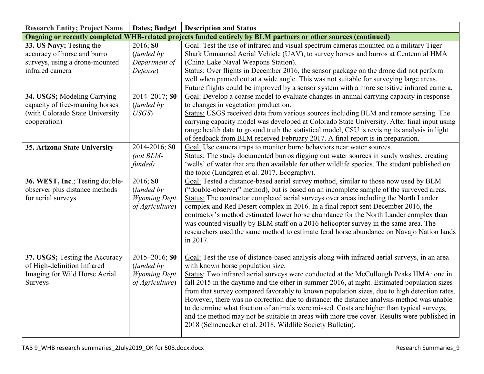| <b>Research Entity; Project Name</b> | <b>Dates; Budget</b> | <b>Description and Status</b>                                                                                   |
|--------------------------------------|----------------------|-----------------------------------------------------------------------------------------------------------------|
|                                      |                      | Ongoing or recently completed WHB-related projects funded entirely by BLM partners or other sources (continued) |
| 33. US Navy; Testing the             | $2016;$ \$0          | Goal: Test the use of infrared and visual spectrum cameras mounted on a military Tiger                          |
| accuracy of horse and burro          | (funded by           | Shark Unmanned Aerial Vehicle (UAV), to survey horses and burros at Centennial HMA                              |
| surveys, using a drone-mounted       | Department of        | (China Lake Naval Weapons Station).                                                                             |
| infrared camera                      | Defense)             | Status: Over flights in December 2016, the sensor package on the drone did not perform                          |
|                                      |                      | well when panned out at a wide angle. This was not suitable for surveying large areas.                          |
|                                      |                      | Future flights could be improved by a sensor system with a more sensitive infrared camera.                      |
| 34. USGS; Modeling Carrying          | 2014-2017; \$0       | Goal: Develop a coarse model to evaluate changes in animal carrying capacity in response                        |
| capacity of free-roaming horses      | (funded by           | to changes in vegetation production.                                                                            |
| (with Colorado State University      | USGS                 | Status: USGS received data from various sources including BLM and remote sensing. The                           |
| cooperation)                         |                      | carrying capacity model was developed at Colorado State University. After final input using                     |
|                                      |                      | range health data to ground truth the statistical model, CSU is revising its analysis in light                  |
|                                      |                      | of feedback from BLM received February 2017. A final report is in preparation.                                  |
| 35. Arizona State University         | 2014-2016; \$0       | Goal: Use camera traps to monitor burro behaviors near water sources.                                           |
|                                      | $(not BLM-$          | Status: The study documented burros digging out water sources in sandy washes, creating                         |
|                                      | funded)              | 'wells' of water that are then available for other wildlife species. The student published on                   |
|                                      |                      | the topic (Lundgren et al. 2017. Ecography).                                                                    |
| 36. WEST, Inc.; Testing double-      | 2016; \$0            | Goal: Tested a distance-based aerial survey method, similar to those now used by BLM                            |
| observer plus distance methods       | (funded by           | ("double-observer" method), but is based on an incomplete sample of the surveyed areas.                         |
| for aerial surveys                   | Wyoming Dept.        | Status: The contractor completed aerial surveys over areas including the North Lander                           |
|                                      | of Agriculture)      | complex and Red Desert complex in 2016. In a final report sent December 2016, the                               |
|                                      |                      | contractor's method estimated lower horse abundance for the North Lander complex than                           |
|                                      |                      | was counted visually by BLM staff on a 2016 helicopter survey in the same area. The                             |
|                                      |                      | researchers used the same method to estimate feral horse abundance on Navajo Nation lands                       |
|                                      |                      | in 2017.                                                                                                        |
|                                      |                      |                                                                                                                 |
| 37. USGS; Testing the Accuracy       | $2015 - 2016$ ; \$0  | Goal: Test the use of distance-based analysis along with infrared aerial surveys, in an area                    |
| of High-definition Infrared          | (funded by           | with known horse population size.                                                                               |
| Imaging for Wild Horse Aerial        | <b>Wyoming Dept.</b> | Status: Two infrared aerial surveys were conducted at the McCullough Peaks HMA: one in                          |
| Surveys                              | of Agriculture)      | fall 2015 in the daytime and the other in summer 2016, at night. Estimated population sizes                     |
|                                      |                      | from that survey compared favorably to known population sizes, due to high detection rates.                     |
|                                      |                      | However, there was no correction due to distance: the distance analysis method was unable                       |
|                                      |                      | to determine what fraction of animals were missed. Costs are higher than typical surveys,                       |
|                                      |                      | and the method may not be suitable in areas with more tree cover. Results were published in                     |
|                                      |                      | 2018 (Schoenecker et al. 2018. Wildlife Society Bulletin).                                                      |
|                                      |                      |                                                                                                                 |